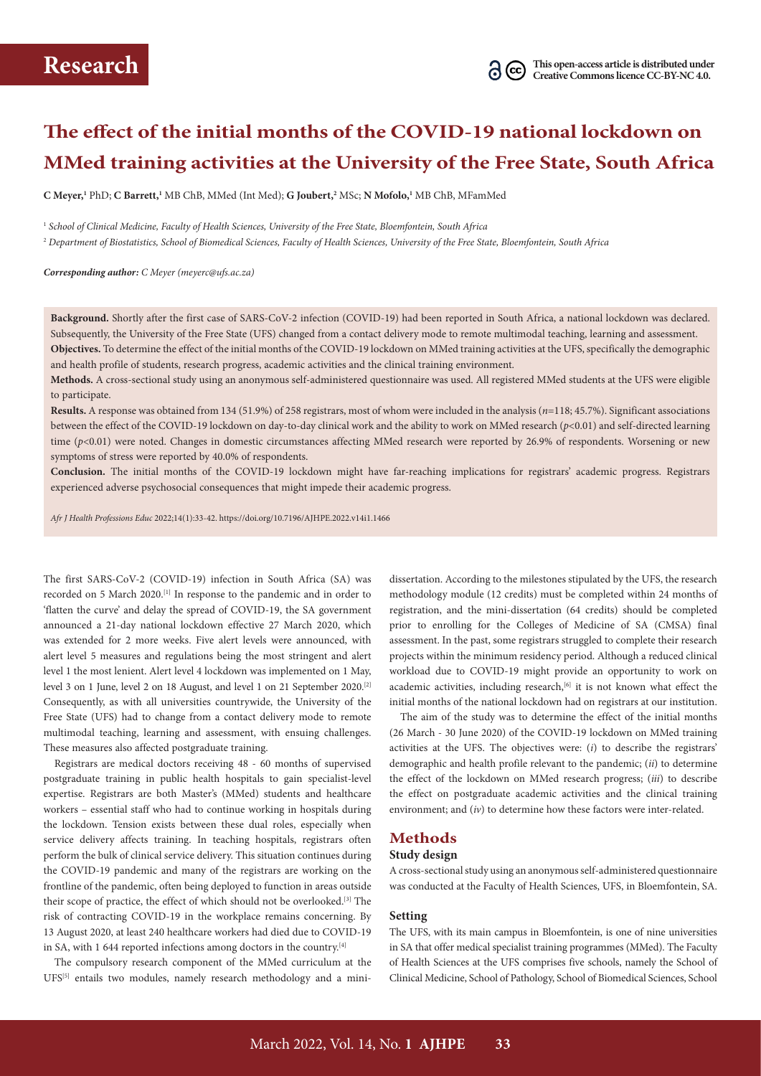# **The effect of the initial months of the COVID-19 national lockdown on MMed training activities at the University of the Free State, South Africa**

**C Meyer,1** PhD; **C Barrett,1** MB ChB, MMed (Int Med); **G Joubert,2** MSc; **N Mofolo,1** MB ChB, MFamMed

<sup>1</sup> *School of Clinical Medicine, Faculty of Health Sciences, University of the Free State, Bloemfontein, South Africa*

<sup>2</sup> *Department of Biostatistics, School of Biomedical Sciences, Faculty of Health Sciences, University of the Free State, Bloemfontein, South Africa* 

*Corresponding author: C Meyer ([meyerc@ufs.ac.za](mailto:meyerc@ufs.ac.za))*

**Background.** Shortly after the first case of SARS-CoV-2 infection (COVID-19) had been reported in South Africa, a national lockdown was declared. Subsequently, the University of the Free State (UFS) changed from a contact delivery mode to remote multimodal teaching, learning and assessment. **Objectives.** To determine the effect of the initial months of the COVID-19 lockdown on MMed training activities at the UFS, specifically the demographic and health profile of students, research progress, academic activities and the clinical training environment.

**Methods.** A cross-sectional study using an anonymous self-administered questionnaire was used. All registered MMed students at the UFS were eligible to participate.

**Results.** A response was obtained from 134 (51.9%) of 258 registrars, most of whom were included in the analysis (*n*=118; 45.7%). Significant associations between the effect of the COVID-19 lockdown on day-to-day clinical work and the ability to work on MMed research (*p*<0.01) and self-directed learning time ( $p$ <0.01) were noted. Changes in domestic circumstances affecting MMed research were reported by 26.9% of respondents. Worsening or new symptoms of stress were reported by 40.0% of respondents.

**Conclusion.** The initial months of the COVID-19 lockdown might have far-reaching implications for registrars' academic progress. Registrars experienced adverse psychosocial consequences that might impede their academic progress.

*Afr J Health Professions Educ* 2022;14(1):33-42. <https://doi.org/10.7196/AJHPE.2022.v14i1.1466>

The first SARS-CoV-2 (COVID-19) infection in South Africa (SA) was recorded on 5 March 2020.<sup>[1]</sup> In response to the pandemic and in order to 'flatten the curve' and delay the spread of COVID-19, the SA government announced a 21-day national lockdown effective 27 March 2020, which was extended for 2 more weeks. Five alert levels were announced, with alert level 5 measures and regulations being the most stringent and alert level 1 the most lenient. Alert level 4 lockdown was implemented on 1 May, level 3 on 1 June, level 2 on 18 August, and level 1 on 21 September 2020.[2] Consequently, as with all universities countrywide, the University of the Free State (UFS) had to change from a contact delivery mode to remote multimodal teaching, learning and assessment, with ensuing challenges. These measures also affected postgraduate training.

Registrars are medical doctors receiving 48 - 60 months of supervised postgraduate training in public health hospitals to gain specialist-level expertise. Registrars are both Master's (MMed) students and healthcare workers – essential staff who had to continue working in hospitals during the lockdown. Tension exists between these dual roles, especially when service delivery affects training. In teaching hospitals, registrars often perform the bulk of clinical service delivery. This situation continues during the COVID-19 pandemic and many of the registrars are working on the frontline of the pandemic, often being deployed to function in areas outside their scope of practice, the effect of which should not be overlooked.<sup>[3]</sup> The risk of contracting COVID-19 in the workplace remains concerning. By 13 August 2020, at least 240 healthcare workers had died due to COVID-19 in SA, with 1 644 reported infections among doctors in the country. $[4]$ 

The compulsory research component of the MMed curriculum at the UFS[5] entails two modules, namely research methodology and a mini-

dissertation. According to the milestones stipulated by the UFS, the research methodology module (12 credits) must be completed within 24 months of registration, and the mini-dissertation (64 credits) should be completed prior to enrolling for the Colleges of Medicine of SA (CMSA) final assessment. In the past, some registrars struggled to complete their research projects within the minimum residency period. Although a reduced clinical workload due to COVID-19 might provide an opportunity to work on academic activities, including research, $[6]$  it is not known what effect the initial months of the national lockdown had on registrars at our institution.

The aim of the study was to determine the effect of the initial months (26 March - 30 June 2020) of the COVID-19 lockdown on MMed training activities at the UFS. The objectives were: (*i*) to describe the registrars' demographic and health profile relevant to the pandemic; (*ii*) to determine the effect of the lockdown on MMed research progress; (*iii*) to describe the effect on postgraduate academic activities and the clinical training environment; and (*iv*) to determine how these factors were inter-related.

## **Methods**

#### **Study design**

A cross-sectional study using an anonymous self-administered questionnaire was conducted at the Faculty of Health Sciences, UFS, in Bloemfontein, SA.

### **Setting**

The UFS, with its main campus in Bloemfontein, is one of nine universities in SA that offer medical specialist training programmes (MMed). The Faculty of Health Sciences at the UFS comprises five schools, namely the School of Clinical Medicine, School of Pathology, School of Biomedical Sciences, School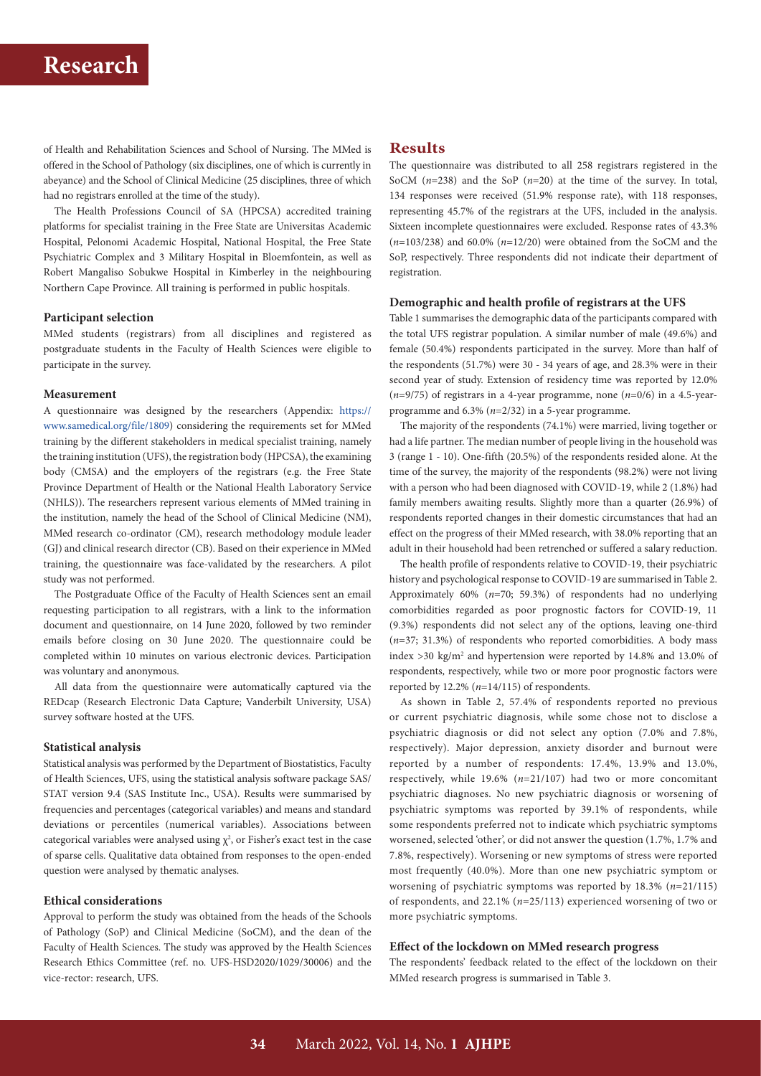of Health and Rehabilitation Sciences and School of Nursing. The MMed is offered in the School of Pathology (six disciplines, one of which is currently in abeyance) and the School of Clinical Medicine (25 disciplines, three of which had no registrars enrolled at the time of the study).

The Health Professions Council of SA (HPCSA) accredited training platforms for specialist training in the Free State are Universitas Academic Hospital, Pelonomi Academic Hospital, National Hospital, the Free State Psychiatric Complex and 3 Military Hospital in Bloemfontein, as well as Robert Mangaliso Sobukwe Hospital in Kimberley in the neighbouring Northern Cape Province. All training is performed in public hospitals.

#### **Participant selection**

MMed students (registrars) from all disciplines and registered as postgraduate students in the Faculty of Health Sciences were eligible to participate in the survey.

#### **Measurement**

A questionnaire was designed by the researchers (Appendix: [https://](https://www.samedical.org/file/1809) [www.samedical.org/file/1809\)](https://www.samedical.org/file/1809) considering the requirements set for MMed training by the different stakeholders in medical specialist training, namely the training institution (UFS), the registration body (HPCSA), the examining body (CMSA) and the employers of the registrars (e.g. the Free State Province Department of Health or the National Health Laboratory Service (NHLS)). The researchers represent various elements of MMed training in the institution, namely the head of the School of Clinical Medicine (NM), MMed research co-ordinator (CM), research methodology module leader (GJ) and clinical research director (CB). Based on their experience in MMed training, the questionnaire was face-validated by the researchers. A pilot study was not performed.

The Postgraduate Office of the Faculty of Health Sciences sent an email requesting participation to all registrars, with a link to the information document and questionnaire, on 14 June 2020, followed by two reminder emails before closing on 30 June 2020. The questionnaire could be completed within 10 minutes on various electronic devices. Participation was voluntary and anonymous.

All data from the questionnaire were automatically captured via the REDcap (Research Electronic Data Capture; Vanderbilt University, USA) survey software hosted at the UFS.

### **Statistical analysis**

Statistical analysis was performed by the Department of Biostatistics, Faculty of Health Sciences, UFS, using the statistical analysis software package SAS/ STAT version 9.4 (SAS Institute Inc., USA). Results were summarised by frequencies and percentages (categorical variables) and means and standard deviations or percentiles (numerical variables). Associations between categorical variables were analysed using  $\chi^2$ , or Fisher's exact test in the case of sparse cells. Qualitative data obtained from responses to the open-ended question were analysed by thematic analyses.

## **Ethical considerations**

Approval to perform the study was obtained from the heads of the Schools of Pathology (SoP) and Clinical Medicine (SoCM), and the dean of the Faculty of Health Sciences. The study was approved by the Health Sciences Research Ethics Committee (ref. no. UFS-HSD2020/1029/30006) and the vice-rector: research, UFS.

## **Results**

The questionnaire was distributed to all 258 registrars registered in the SoCM (*n*=238) and the SoP (*n*=20) at the time of the survey. In total, 134 responses were received (51.9% response rate), with 118 responses, representing 45.7% of the registrars at the UFS, included in the analysis. Sixteen incomplete questionnaires were excluded. Response rates of 43.3% (*n*=103/238) and 60.0% (*n*=12/20) were obtained from the SoCM and the SoP, respectively. Three respondents did not indicate their department of registration.

## **Demographic and health profile of registrars at the UFS**

Table 1 summarises the demographic data of the participants compared with the total UFS registrar population. A similar number of male (49.6%) and female (50.4%) respondents participated in the survey. More than half of the respondents (51.7%) were 30 - 34 years of age, and 28.3% were in their second year of study. Extension of residency time was reported by 12.0% (*n*=9/75) of registrars in a 4-year programme, none (*n*=0/6) in a 4.5-yearprogramme and 6.3% (*n*=2/32) in a 5-year programme.

The majority of the respondents (74.1%) were married, living together or had a life partner. The median number of people living in the household was 3 (range 1 - 10). One-fifth (20.5%) of the respondents resided alone. At the time of the survey, the majority of the respondents (98.2%) were not living with a person who had been diagnosed with COVID-19, while 2 (1.8%) had family members awaiting results. Slightly more than a quarter (26.9%) of respondents reported changes in their domestic circumstances that had an effect on the progress of their MMed research, with 38.0% reporting that an adult in their household had been retrenched or suffered a salary reduction.

The health profile of respondents relative to COVID-19, their psychiatric history and psychological response to COVID-19 are summarised in Table 2. Approximately 60% (*n*=70; 59.3%) of respondents had no underlying comorbidities regarded as poor prognostic factors for COVID-19, 11 (9.3%) respondents did not select any of the options, leaving one-third (*n*=37; 31.3%) of respondents who reported comorbidities. A body mass index  $>$  30 kg/m<sup>2</sup> and hypertension were reported by 14.8% and 13.0% of respondents, respectively, while two or more poor prognostic factors were reported by 12.2% (*n*=14/115) of respondents.

As shown in Table 2, 57.4% of respondents reported no previous or current psychiatric diagnosis, while some chose not to disclose a psychiatric diagnosis or did not select any option (7.0% and 7.8%, respectively). Major depression, anxiety disorder and burnout were reported by a number of respondents: 17.4%, 13.9% and 13.0%, respectively, while 19.6% (*n*=21/107) had two or more concomitant psychiatric diagnoses. No new psychiatric diagnosis or worsening of psychiatric symptoms was reported by 39.1% of respondents, while some respondents preferred not to indicate which psychiatric symptoms worsened, selected 'other', or did not answer the question (1.7%, 1.7% and 7.8%, respectively). Worsening or new symptoms of stress were reported most frequently (40.0%). More than one new psychiatric symptom or worsening of psychiatric symptoms was reported by 18.3% (*n*=21/115) of respondents, and 22.1% (*n*=25/113) experienced worsening of two or more psychiatric symptoms.

### **Effect of the lockdown on MMed research progress**

The respondents' feedback related to the effect of the lockdown on their MMed research progress is summarised in Table 3.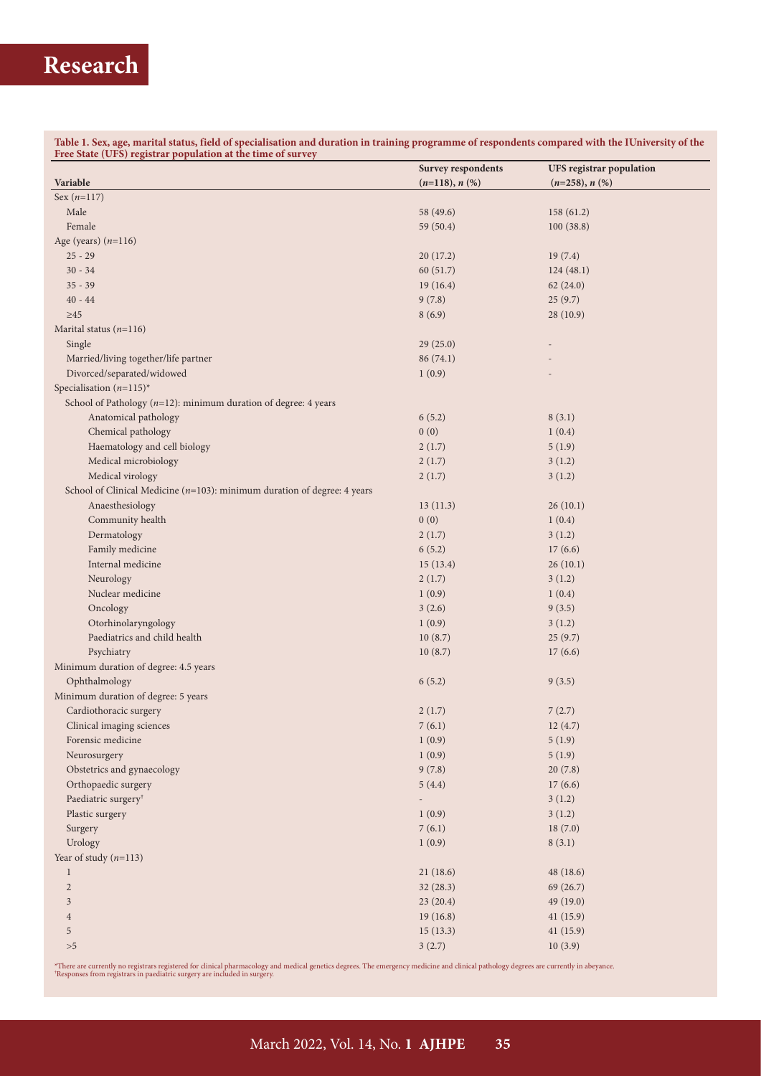**Table 1. Sex, age, marital status, field of specialisation and duration in training programme of respondents compared with the IUniversity of the Free State (UFS) registrar population at the time of survey**

|                                                                              | <b>Survey respondents</b> | <b>UFS</b> registrar population |
|------------------------------------------------------------------------------|---------------------------|---------------------------------|
| Variable                                                                     | $(n=118), n$ (%)          | $(n=258), n$ (%)                |
| Sex $(n=117)$                                                                |                           |                                 |
| Male                                                                         | 58 (49.6)                 | 158(61.2)                       |
| Female                                                                       | 59 (50.4)                 | 100(38.8)                       |
| Age (years) $(n=116)$                                                        |                           |                                 |
| $25 - 29$                                                                    | 20(17.2)                  | 19(7.4)                         |
| $30 - 34$                                                                    | 60(51.7)                  | 124(48.1)                       |
| $35 - 39$                                                                    | 19(16.4)                  | 62(24.0)                        |
| $40 - 44$                                                                    | 9(7.8)                    | 25(9.7)                         |
| $\geq 45$                                                                    | 8(6.9)                    | 28(10.9)                        |
| Marital status $(n=116)$                                                     |                           |                                 |
| Single                                                                       | 29(25.0)                  |                                 |
| Married/living together/life partner                                         | 86 (74.1)                 |                                 |
| Divorced/separated/widowed                                                   | 1(0.9)                    |                                 |
| Specialisation $(n=115)^*$                                                   |                           |                                 |
| School of Pathology $(n=12)$ : minimum duration of degree: 4 years           |                           |                                 |
| Anatomical pathology                                                         | 6(5.2)                    | 8(3.1)                          |
| Chemical pathology                                                           | 0(0)                      | 1(0.4)                          |
| Haematology and cell biology                                                 | 2(1.7)                    | 5(1.9)                          |
| Medical microbiology                                                         | 2(1.7)                    | 3(1.2)                          |
| Medical virology                                                             | 2(1.7)                    | 3(1.2)                          |
| School of Clinical Medicine ( $n=103$ ): minimum duration of degree: 4 years |                           |                                 |
| Anaesthesiology                                                              | 13(11.3)                  | 26(10.1)                        |
| Community health                                                             | 0(0)                      | 1(0.4)                          |
| Dermatology                                                                  | 2(1.7)                    | 3(1.2)                          |
| Family medicine                                                              | 6(5.2)                    | 17(6.6)                         |
| Internal medicine                                                            | 15(13.4)                  | 26(10.1)                        |
| Neurology                                                                    | 2(1.7)                    | 3(1.2)                          |
| Nuclear medicine                                                             | 1(0.9)                    | 1(0.4)                          |
| Oncology                                                                     | 3(2.6)                    | 9(3.5)                          |
| Otorhinolaryngology                                                          | 1(0.9)                    | 3(1.2)                          |
| Paediatrics and child health                                                 | 10(8.7)                   | 25(9.7)                         |
| Psychiatry                                                                   | 10(8.7)                   | 17(6.6)                         |
| Minimum duration of degree: 4.5 years                                        |                           |                                 |
| Ophthalmology                                                                | 6(5.2)                    | 9(3.5)                          |
| Minimum duration of degree: 5 years                                          |                           |                                 |
| Cardiothoracic surgery                                                       | 2(1.7)                    | 7(2.7)                          |
| Clinical imaging sciences                                                    | 7(6.1)                    | 12(4.7)                         |
| Forensic medicine                                                            | 1(0.9)                    | 5(1.9)                          |
| Neurosurgery                                                                 | 1(0.9)                    | 5(1.9)                          |
| Obstetrics and gynaecology                                                   | 9(7.8)                    | 20(7.8)                         |
| Orthopaedic surgery                                                          | 5(4.4)                    | 17(6.6)                         |
| Paediatric surgery <sup>†</sup>                                              | $\overline{\phantom{a}}$  | 3(1.2)                          |
| Plastic surgery                                                              | 1(0.9)                    | 3(1.2)                          |
| Surgery                                                                      | 7(6.1)                    | 18(7.0)                         |
| Urology                                                                      | 1(0.9)                    | 8(3.1)                          |
| Year of study $(n=113)$                                                      |                           |                                 |
| $\mathbf{1}$                                                                 | 21(18.6)                  | 48(18.6)                        |
| $\sqrt{2}$                                                                   | 32(28.3)                  | 69(26.7)                        |
| $\mathfrak{Z}$                                                               | 23 (20.4)                 | 49 (19.0)                       |
| $\overline{4}$                                                               | 19(16.8)                  | 41(15.9)                        |
| 5                                                                            | 15(13.3)                  | 41(15.9)                        |
| ${>}5\,$                                                                     | 3(2.7)                    | 10(3.9)                         |

\*There are currently no registrars registered for clinical pharmacology and medical genetics degrees. The emergency medicine and clinical pathology degrees are currently in abeyance.<br>'Responses from registrars in paediatri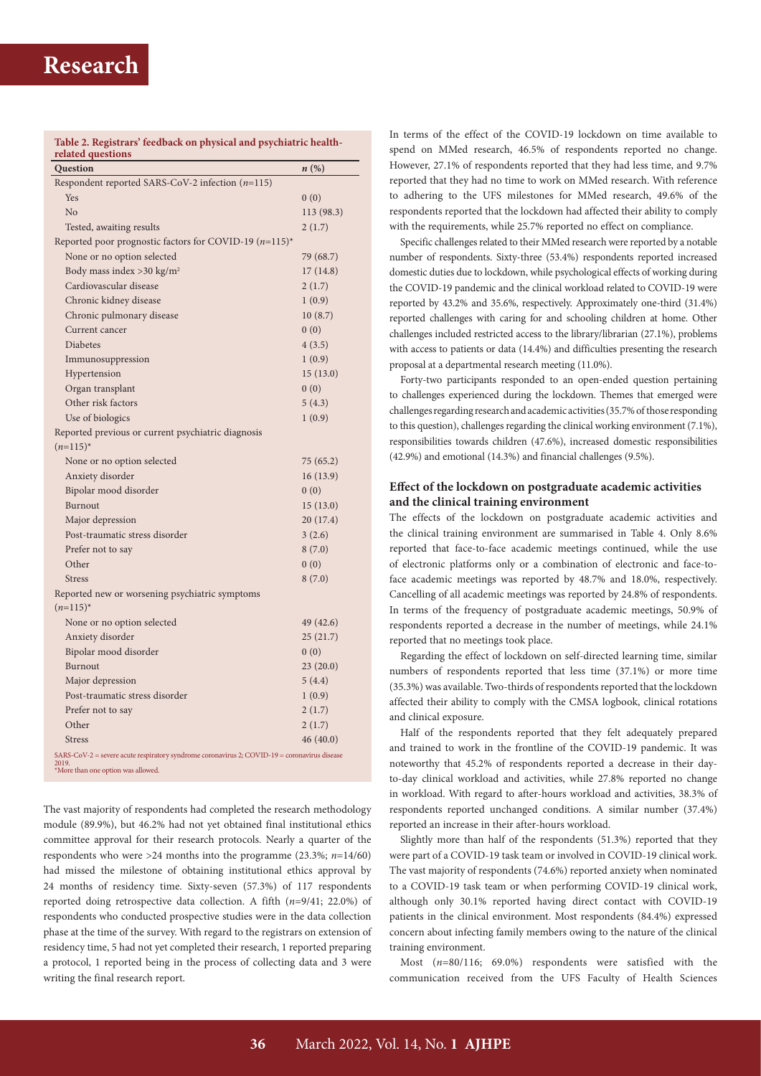| Table 2. Registrars' feedback on physical and psychiatric health-<br>related questions                                                      |                    |
|---------------------------------------------------------------------------------------------------------------------------------------------|--------------------|
| Question                                                                                                                                    | $n\left(\%\right)$ |
| Respondent reported SARS-CoV-2 infection $(n=115)$                                                                                          |                    |
| <b>Yes</b>                                                                                                                                  | 0(0)               |
| No                                                                                                                                          | 113 (98.3)         |
| Tested, awaiting results                                                                                                                    | 2(1.7)             |
| Reported poor prognostic factors for COVID-19 $(n=115)^*$                                                                                   |                    |
| None or no option selected                                                                                                                  | 79 (68.7)          |
| Body mass index > 30 kg/m <sup>2</sup>                                                                                                      | 17(14.8)           |
| Cardiovascular disease                                                                                                                      | 2(1.7)             |
| Chronic kidney disease                                                                                                                      | 1(0.9)             |
| Chronic pulmonary disease                                                                                                                   | 10(8.7)            |
| Current cancer                                                                                                                              | 0(0)               |
| <b>Diabetes</b>                                                                                                                             | 4(3.5)             |
| Immunosuppression                                                                                                                           | 1(0.9)             |
| Hypertension                                                                                                                                | 15(13.0)           |
| Organ transplant                                                                                                                            | 0(0)               |
| Other risk factors                                                                                                                          | 5(4.3)             |
| Use of biologics                                                                                                                            | 1(0.9)             |
| Reported previous or current psychiatric diagnosis                                                                                          |                    |
| $(n=115)^{*}$                                                                                                                               |                    |
| None or no option selected                                                                                                                  | 75(65.2)           |
| Anxiety disorder                                                                                                                            | 16(13.9)           |
| Bipolar mood disorder                                                                                                                       | 0(0)               |
| Burnout                                                                                                                                     | 15(13.0)           |
| Major depression                                                                                                                            | 20(17.4)           |
| Post-traumatic stress disorder                                                                                                              | 3(2.6)             |
| Prefer not to say                                                                                                                           | 8(7.0)             |
| Other                                                                                                                                       | 0(0)               |
| <b>Stress</b>                                                                                                                               | 8(7.0)             |
| Reported new or worsening psychiatric symptoms                                                                                              |                    |
| $(n=115)^{*}$                                                                                                                               |                    |
| None or no option selected                                                                                                                  | 49 (42.6)          |
| Anxiety disorder                                                                                                                            | 25(21.7)           |
| Bipolar mood disorder                                                                                                                       | 0(0)               |
| Burnout                                                                                                                                     | 23(20.0)           |
| Major depression                                                                                                                            | 5(4.4)             |
| Post-traumatic stress disorder                                                                                                              | 1(0.9)             |
| Prefer not to say                                                                                                                           | 2(1.7)             |
| Other                                                                                                                                       | 2(1.7)             |
| <b>Stress</b>                                                                                                                               | 46(40.0)           |
| SARS-CoV-2 = severe acute respiratory syndrome coronavirus 2; COVID-19 = coronavirus disease<br>2019.<br>'More than one option was allowed. |                    |

The vast majority of respondents had completed the research methodology module (89.9%), but 46.2% had not yet obtained final institutional ethics committee approval for their research protocols. Nearly a quarter of the respondents who were >24 months into the programme (23.3%; *n*=14/60) had missed the milestone of obtaining institutional ethics approval by 24 months of residency time. Sixty-seven (57.3%) of 117 respondents reported doing retrospective data collection. A fifth (*n*=9/41; 22.0%) of respondents who conducted prospective studies were in the data collection phase at the time of the survey. With regard to the registrars on extension of residency time, 5 had not yet completed their research, 1 reported preparing a protocol, 1 reported being in the process of collecting data and 3 were writing the final research report.

In terms of the effect of the COVID-19 lockdown on time available to spend on MMed research, 46.5% of respondents reported no change. However, 27.1% of respondents reported that they had less time, and 9.7% reported that they had no time to work on MMed research. With reference to adhering to the UFS milestones for MMed research, 49.6% of the respondents reported that the lockdown had affected their ability to comply with the requirements, while 25.7% reported no effect on compliance.

Specific challenges related to their MMed research were reported by a notable number of respondents. Sixty-three (53.4%) respondents reported increased domestic duties due to lockdown, while psychological effects of working during the COVID-19 pandemic and the clinical workload related to COVID-19 were reported by 43.2% and 35.6%, respectively. Approximately one-third (31.4%) reported challenges with caring for and schooling children at home. Other challenges included restricted access to the library/librarian (27.1%), problems with access to patients or data (14.4%) and difficulties presenting the research proposal at a departmental research meeting (11.0%).

Forty-two participants responded to an open-ended question pertaining to challenges experienced during the lockdown. Themes that emerged were challenges regarding research and academic activities (35.7% of those responding to this question), challenges regarding the clinical working environment (7.1%), responsibilities towards children (47.6%), increased domestic responsibilities (42.9%) and emotional (14.3%) and financial challenges (9.5%).

### **Effect of the lockdown on postgraduate academic activities and the clinical training environment**

The effects of the lockdown on postgraduate academic activities and the clinical training environment are summarised in Table 4. Only 8.6% reported that face-to-face academic meetings continued, while the use of electronic platforms only or a combination of electronic and face-toface academic meetings was reported by 48.7% and 18.0%, respectively. Cancelling of all academic meetings was reported by 24.8% of respondents. In terms of the frequency of postgraduate academic meetings, 50.9% of respondents reported a decrease in the number of meetings, while 24.1% reported that no meetings took place.

Regarding the effect of lockdown on self-directed learning time, similar numbers of respondents reported that less time (37.1%) or more time (35.3%) was available. Two-thirds of respondents reported that the lockdown affected their ability to comply with the CMSA logbook, clinical rotations and clinical exposure.

Half of the respondents reported that they felt adequately prepared and trained to work in the frontline of the COVID-19 pandemic. It was noteworthy that 45.2% of respondents reported a decrease in their dayto-day clinical workload and activities, while 27.8% reported no change in workload. With regard to after-hours workload and activities, 38.3% of respondents reported unchanged conditions. A similar number (37.4%) reported an increase in their after-hours workload.

Slightly more than half of the respondents (51.3%) reported that they were part of a COVID-19 task team or involved in COVID-19 clinical work. The vast majority of respondents (74.6%) reported anxiety when nominated to a COVID-19 task team or when performing COVID-19 clinical work, although only 30.1% reported having direct contact with COVID-19 patients in the clinical environment. Most respondents (84.4%) expressed concern about infecting family members owing to the nature of the clinical training environment.

Most (*n*=80/116; 69.0%) respondents were satisfied with the communication received from the UFS Faculty of Health Sciences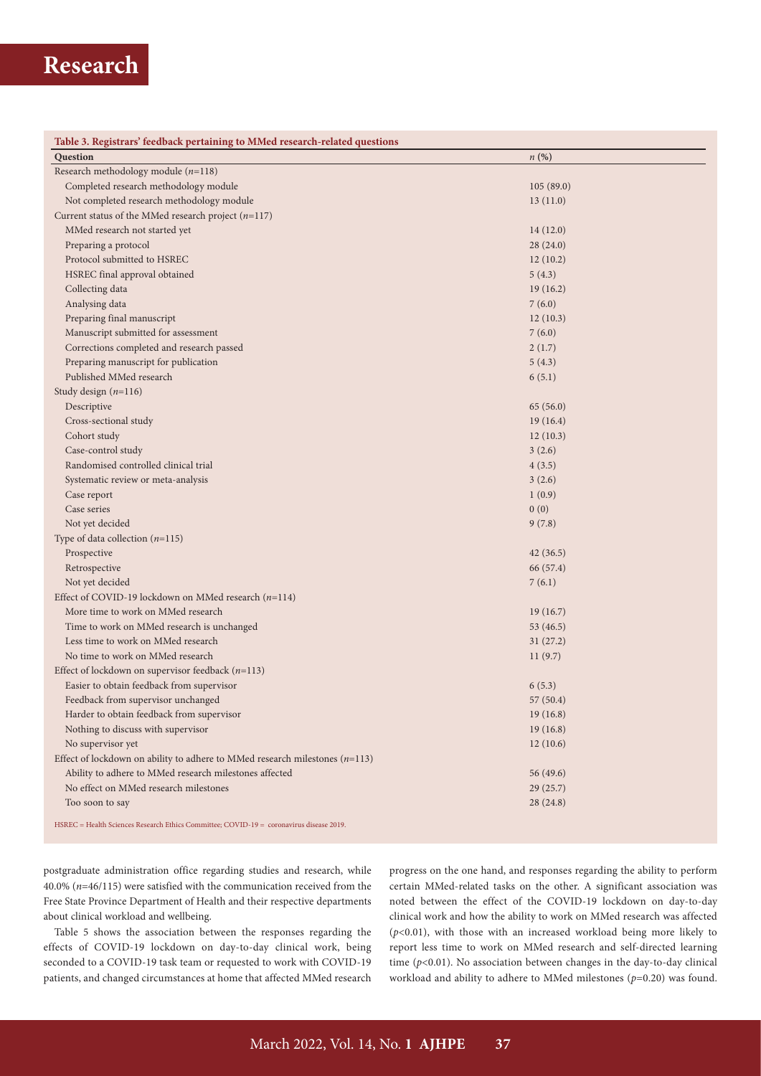| Question<br>n(%)                                                                        |  |
|-----------------------------------------------------------------------------------------|--|
| Research methodology module $(n=118)$                                                   |  |
| Completed research methodology module<br>105(89.0)                                      |  |
| Not completed research methodology module<br>13(11.0)                                   |  |
| Current status of the MMed research project $(n=117)$                                   |  |
| MMed research not started yet<br>14(12.0)                                               |  |
| Preparing a protocol<br>28(24.0)                                                        |  |
| Protocol submitted to HSREC<br>12(10.2)                                                 |  |
| HSREC final approval obtained<br>5(4.3)                                                 |  |
| Collecting data<br>19(16.2)                                                             |  |
| Analysing data<br>7(6.0)                                                                |  |
| Preparing final manuscript<br>12(10.3)                                                  |  |
| Manuscript submitted for assessment<br>7(6.0)                                           |  |
| Corrections completed and research passed<br>2(1.7)                                     |  |
| Preparing manuscript for publication<br>5(4.3)                                          |  |
| Published MMed research<br>6(5.1)                                                       |  |
| Study design $(n=116)$                                                                  |  |
| Descriptive<br>65(56.0)                                                                 |  |
| Cross-sectional study<br>19(16.4)                                                       |  |
| Cohort study<br>12(10.3)                                                                |  |
| Case-control study<br>3(2.6)                                                            |  |
| Randomised controlled clinical trial<br>4(3.5)                                          |  |
| Systematic review or meta-analysis<br>3(2.6)                                            |  |
| Case report<br>1(0.9)                                                                   |  |
| Case series<br>0(0)                                                                     |  |
| Not yet decided<br>9(7.8)                                                               |  |
| Type of data collection $(n=115)$                                                       |  |
| Prospective<br>42(36.5)                                                                 |  |
| Retrospective<br>66 (57.4)                                                              |  |
| Not yet decided<br>7(6.1)                                                               |  |
| Effect of COVID-19 lockdown on MMed research $(n=114)$                                  |  |
| More time to work on MMed research<br>19(16.7)                                          |  |
| Time to work on MMed research is unchanged<br>53 (46.5)                                 |  |
| Less time to work on MMed research<br>31(27.2)                                          |  |
| No time to work on MMed research<br>11(9.7)                                             |  |
| Effect of lockdown on supervisor feedback $(n=113)$                                     |  |
| Easier to obtain feedback from supervisor<br>6(5.3)                                     |  |
| Feedback from supervisor unchanged<br>57(50.4)                                          |  |
| Harder to obtain feedback from supervisor<br>19(16.8)                                   |  |
| Nothing to discuss with supervisor<br>19(16.8)                                          |  |
| No supervisor yet<br>12(10.6)                                                           |  |
| Effect of lockdown on ability to adhere to MMed research milestones ( $n=113$ )         |  |
| Ability to adhere to MMed research milestones affected<br>56 (49.6)                     |  |
| No effect on MMed research milestones<br>29(25.7)                                       |  |
| Too soon to say<br>28 (24.8)                                                            |  |
| HSREC = Health Sciences Research Ethics Committee; COVID-19 = coronavirus disease 2019. |  |

postgraduate administration office regarding studies and research, while 40.0% (*n*=46/115) were satisfied with the communication received from the Free State Province Department of Health and their respective departments about clinical workload and wellbeing.

Table 5 shows the association between the responses regarding the effects of COVID-19 lockdown on day-to-day clinical work, being seconded to a COVID-19 task team or requested to work with COVID-19 patients, and changed circumstances at home that affected MMed research progress on the one hand, and responses regarding the ability to perform certain MMed-related tasks on the other. A significant association was noted between the effect of the COVID-19 lockdown on day-to-day clinical work and how the ability to work on MMed research was affected  $(p<0.01)$ , with those with an increased workload being more likely to report less time to work on MMed research and self-directed learning time ( $p$ <0.01). No association between changes in the day-to-day clinical workload and ability to adhere to MMed milestones (*p*=0.20) was found.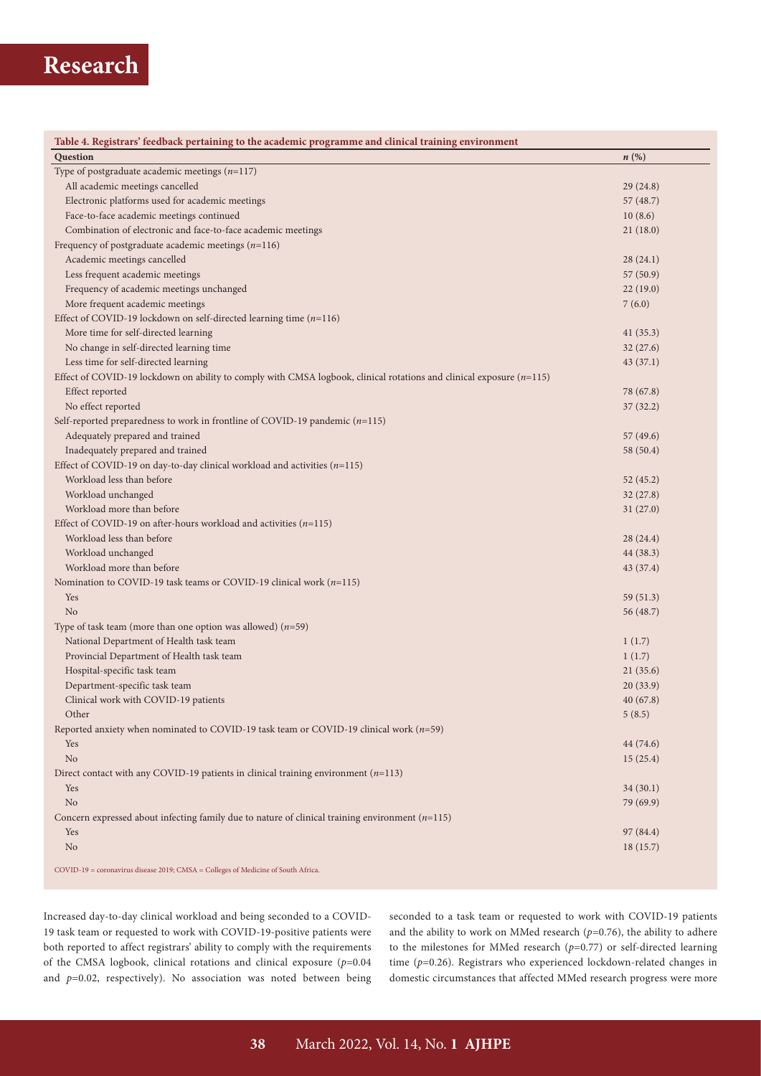| Table 4. Registrars' feedback pertaining to the academic programme and clinical training environment                   |           |
|------------------------------------------------------------------------------------------------------------------------|-----------|
| <b>Question</b>                                                                                                        | n(%)      |
| Type of postgraduate academic meetings $(n=117)$                                                                       |           |
| All academic meetings cancelled                                                                                        | 29(24.8)  |
| Electronic platforms used for academic meetings                                                                        | 57 (48.7) |
| Face-to-face academic meetings continued                                                                               | 10(8.6)   |
| Combination of electronic and face-to-face academic meetings                                                           | 21(18.0)  |
| Frequency of postgraduate academic meetings $(n=116)$                                                                  |           |
| Academic meetings cancelled                                                                                            | 28(24.1)  |
| Less frequent academic meetings                                                                                        | 57 (50.9) |
| Frequency of academic meetings unchanged                                                                               | 22(19.0)  |
| More frequent academic meetings                                                                                        | 7(6.0)    |
| Effect of COVID-19 lockdown on self-directed learning time $(n=116)$                                                   |           |
| More time for self-directed learning                                                                                   | 41(35.3)  |
| No change in self-directed learning time                                                                               | 32(27.6)  |
| Less time for self-directed learning                                                                                   | 43(37.1)  |
| Effect of COVID-19 lockdown on ability to comply with CMSA logbook, clinical rotations and clinical exposure $(n=115)$ |           |
| Effect reported                                                                                                        | 78 (67.8) |
| No effect reported                                                                                                     | 37(32.2)  |
| Self-reported preparedness to work in frontline of COVID-19 pandemic $(n=115)$                                         |           |
| Adequately prepared and trained                                                                                        | 57 (49.6) |
| Inadequately prepared and trained                                                                                      | 58 (50.4) |
| Effect of COVID-19 on day-to-day clinical workload and activities $(n=115)$                                            |           |
| Workload less than before                                                                                              | 52 (45.2) |
| Workload unchanged                                                                                                     | 32(27.8)  |
| Workload more than before                                                                                              | 31(27.0)  |
| Effect of COVID-19 on after-hours workload and activities $(n=115)$                                                    |           |
| Workload less than before                                                                                              | 28(24.4)  |
| Workload unchanged                                                                                                     | 44 (38.3) |
| Workload more than before                                                                                              | 43 (37.4) |
| Nomination to COVID-19 task teams or COVID-19 clinical work $(n=115)$                                                  |           |
| Yes                                                                                                                    | 59 (51.3) |
| N <sub>o</sub>                                                                                                         | 56 (48.7) |
| Type of task team (more than one option was allowed) $(n=59)$                                                          |           |
| National Department of Health task team                                                                                | 1(1.7)    |
| Provincial Department of Health task team                                                                              | 1(1.7)    |
| Hospital-specific task team                                                                                            | 21(35.6)  |
| Department-specific task team                                                                                          | 20(33.9)  |
| Clinical work with COVID-19 patients                                                                                   | 40(67.8)  |
| Other                                                                                                                  | 5(8.5)    |
| Reported anxiety when nominated to COVID-19 task team or COVID-19 clinical work $(n=59)$                               |           |
| Yes                                                                                                                    | 44 (74.6) |
| No                                                                                                                     | 15(25.4)  |
| Direct contact with any COVID-19 patients in clinical training environment $(n=113)$                                   |           |
| Yes                                                                                                                    | 34(30.1)  |
| No                                                                                                                     | 79 (69.9) |
| Concern expressed about infecting family due to nature of clinical training environment $(n=115)$                      |           |
| Yes                                                                                                                    | 97 (84.4) |
| N <sub>o</sub>                                                                                                         | 18(15.7)  |
|                                                                                                                        |           |
| COVID-19 = coronavirus disease 2019; CMSA = Colleges of Medicine of South Africa.                                      |           |

Increased day-to-day clinical workload and being seconded to a COVID-19 task team or requested to work with COVID-19-positive patients were both reported to affect registrars' ability to comply with the requirements of the CMSA logbook, clinical rotations and clinical exposure (*p*=0.04 and *p*=0.02, respectively). No association was noted between being seconded to a task team or requested to work with COVID-19 patients and the ability to work on MMed research  $(p=0.76)$ , the ability to adhere to the milestones for MMed research (*p*=0.77) or self-directed learning time (*p*=0.26). Registrars who experienced lockdown-related changes in domestic circumstances that affected MMed research progress were more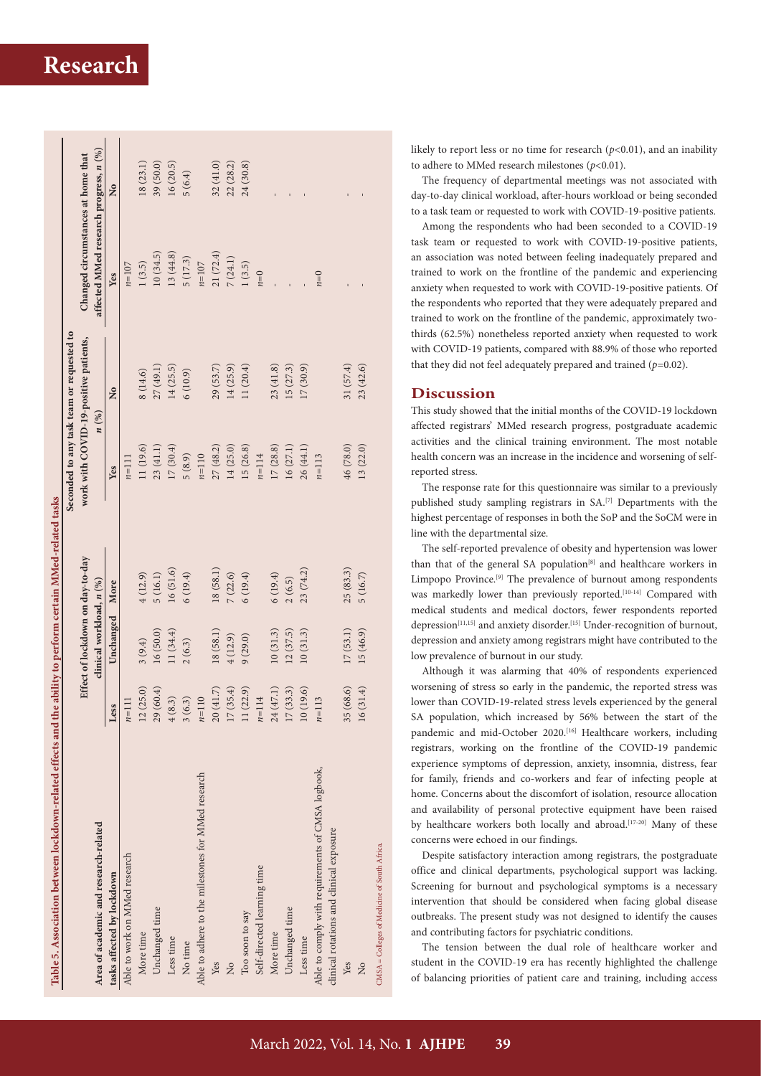| Table 5. Association between lockdown-related effects and the ability to perform certain MMed-related tasks |                        |                                  |           |           |                                           |                                        |           |
|-------------------------------------------------------------------------------------------------------------|------------------------|----------------------------------|-----------|-----------|-------------------------------------------|----------------------------------------|-----------|
|                                                                                                             |                        |                                  |           |           | Seconded to any task team or requested to |                                        |           |
|                                                                                                             |                        | Effect of lockdown on day-to-day |           |           | work with COVID-19-positive patients,     | Changed circumstances at home that     |           |
| Area of academic and research-related                                                                       |                        | clinical workload, n (%)         |           |           | n(%)                                      | affected MMed research progress, n (%) |           |
| tasks affected by lockdown                                                                                  | Less                   | Unchanged                        | More      | Yes       | $\overline{\mathsf{x}}$                   | Yes                                    | ž         |
| Able to work on MMed research                                                                               | $n=111$                |                                  |           | $n=111$   |                                           | $n=107$                                |           |
| More time                                                                                                   | 12(25.0)               | 3(9.4)                           | 4(12.9)   | 11 (19.6) | 8(14.6)                                   | 1(3.5)                                 | 18(23.1)  |
| Unchanged time                                                                                              | 29(60.4)               | 16(50.0)                         | 5(16.1)   | 23 (41.1) | 27 (49.1)                                 | 10(34.5)                               | 39 (50.0) |
| Less time                                                                                                   | (8.3)<br>$\frac{4}{5}$ | 11(34.4)                         | 16(51.6)  | 17(30.4)  | 14(25.5)                                  | 13 (44.8)                              | 16 (20.5) |
| No time                                                                                                     | 3(6.3)                 | 2(6.3)                           | 6(19.4)   | 5(8.9)    | 6(10.9)                                   | 5(17.3)                                | 5(6.4)    |
| Able to adhere to the milestones for MMed research                                                          | $n=110$                |                                  |           | $n=110$   |                                           | $n=107$                                |           |
| Yes                                                                                                         | 20(41.7)               | 18(58.1)                         | 18 (58.1) | 27(48.2)  | 29(53.7)                                  | 21 (72.4)                              | 32(41.0)  |
| $\overline{X}$                                                                                              | (35.4)<br>17           | 4(12.9)                          | 7(22.6)   | 14 (25.0) | 14 (25.9)                                 | 7(24.1)                                | 22 (28.2) |
| Too soon to say                                                                                             | 11(22.9)               | 9(29.0)                          | 6(19.4)   | 15 (26.8) | 11(20.4)                                  | 1(3.5)                                 | 24 (30.8) |
| Self-directed learning time                                                                                 | $n = 114$              |                                  |           | $n = 114$ |                                           | $n=0$                                  |           |
| More time                                                                                                   | 24(47.1)               | 10(31.3)                         | 6(19.4)   | 17(28.8)  | 23(41.8)                                  |                                        |           |
| Unchanged time                                                                                              | (33.3)<br>17           | 12(37.5)                         | 2(6.5)    | 16 (27.1) | 15(27.3)                                  |                                        |           |
| Less time                                                                                                   | 10(19.6)               | 10(31.3)                         | 23 (74.2) | 26 (44.1) | 17(30.9)                                  |                                        |           |
| Able to comply with requirements of CMSA logbook,<br>clinical rotations and clinical exposure               | $n = 113$              |                                  |           | $n = 113$ |                                           | $n=0$                                  |           |
| Yes                                                                                                         | (68.6)<br>35           | 17(53.1)                         | 25(83.3)  | 46 (78.0) | 31 (57.4)                                 |                                        |           |
| $\overline{a}$                                                                                              | (31.4)<br>16           | 15 (46.9)                        | 5(16.7)   | 13(22.0)  | 23(42.6)                                  |                                        |           |
| CMSA = Colleges of Medicine of South Africa.                                                                |                        |                                  |           |           |                                           |                                        |           |

likely to report less or no time for research (*p*<0.01), and an inability to adhere to MMed research milestones ( $p$ <0.01).

The frequency of departmental meetings was not associated with day-to-day clinical workload, after-hours workload or being seconded to a task team or requested to work with COVID-19-positive patients.

Among the respondents who had been seconded to a COVID-19 task team or requested to work with COVID-19-positive patients, an association was noted between feeling inadequately prepared and trained to work on the frontline of the pandemic and experiencing anxiety when requested to work with COVID-19-positive patients. Of the respondents who reported that they were adequately prepared and trained to work on the frontline of the pandemic, approximately twothirds (62.5%) nonetheless reported anxiety when requested to work with COVID-19 patients, compared with 88.9% of those who reported that they did not feel adequately prepared and trained (*p*=0.02).

### **Discussion**

This study showed that the initial months of the COVID-19 lockdown affected registrars' MMed research progress, postgraduate academic activities and the clinical training environment. The most notable health concern was an increase in the incidence and worsening of selfreported stress.

The response rate for this questionnaire was similar to a previously published study sampling registrars in SA.[7] Departments with the highest percentage of responses in both the SoP and the SoCM were in line with the departmental size.

The self-reported prevalence of obesity and hypertension was lower than that of the general SA population<sup>[8]</sup> and healthcare workers in Limpopo Province.[9] The prevalence of burnout among respondents was markedly lower than previously reported.<sup>[10-14]</sup> Compared with medical students and medical doctors, fewer respondents reported depression<sup>[11,15]</sup> and anxiety disorder.<sup>[15]</sup> Under-recognition of burnout, depression and anxiety among registrars might have contributed to the low prevalence of burnout in our study.

Although it was alarming that 40% of respondents experienced worsening of stress so early in the pandemic, the reported stress was lower than COVID-19-related stress levels experienced by the general SA population, which increased by 56% between the start of the pandemic and mid-October 2020.<sup>[16]</sup> Healthcare workers, including registrars, working on the frontline of the COVID-19 pandemic experience symptoms of depression, anxiety, insomnia, distress, fear for family, friends and co-workers and fear of infecting people at home. Concerns about the discomfort of isolation, resource allocation and availability of personal protective equipment have been raised by healthcare workers both locally and abroad.<sup>[17-20]</sup> Many of these concerns were echoed in our findings.

Despite satisfactory interaction among registrars, the postgraduate office and clinical departments, psychological support was lacking. Screening for burnout and psychological symptoms is a necessary intervention that should be considered when facing global disease outbreaks. The present study was not designed to identify the causes and contributing factors for psychiatric conditions.

The tension between the dual role of healthcare worker and student in the COVID-19 era has recently highlighted the challenge of balancing priorities of patient care and training, including access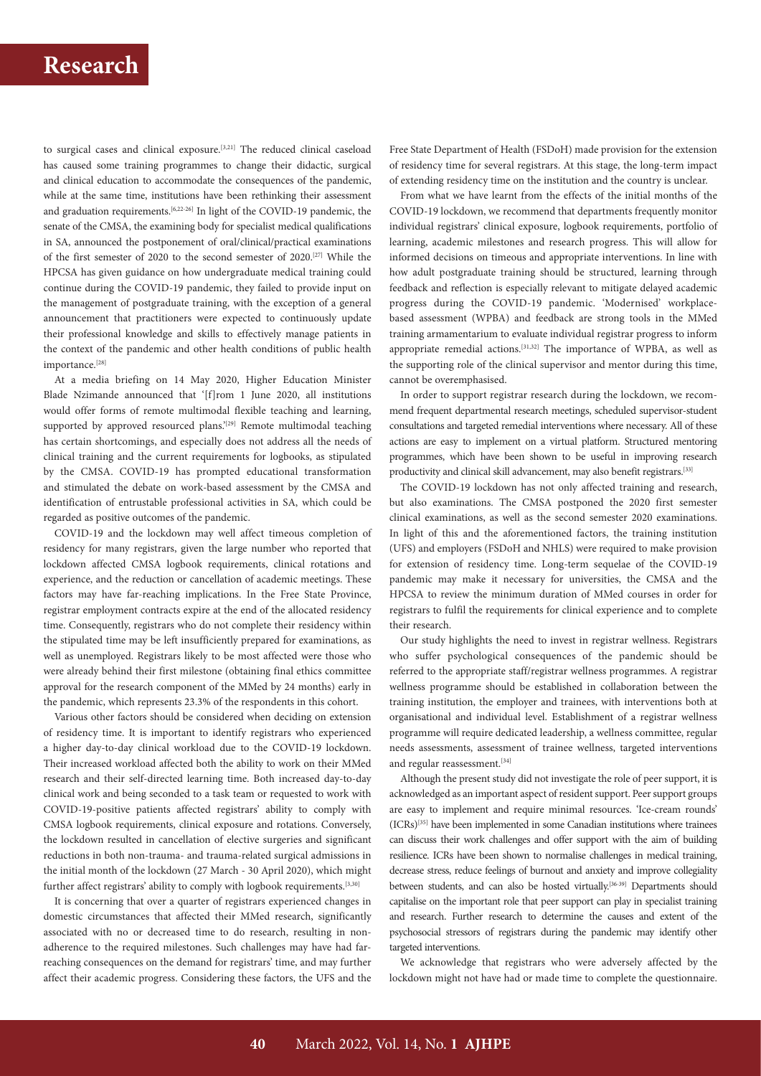to surgical cases and clinical exposure.<sup>[3,21]</sup> The reduced clinical caseload has caused some training programmes to change their didactic, surgical and clinical education to accommodate the consequences of the pandemic, while at the same time, institutions have been rethinking their assessment and graduation requirements.<sup>[6,22-26]</sup> In light of the COVID-19 pandemic, the senate of the CMSA, the examining body for specialist medical qualifications in SA, announced the postponement of oral/clinical/practical examinations of the first semester of 2020 to the second semester of 2020.[27] While the HPCSA has given guidance on how undergraduate medical training could continue during the COVID-19 pandemic, they failed to provide input on the management of postgraduate training, with the exception of a general announcement that practitioners were expected to continuously update their professional knowledge and skills to effectively manage patients in the context of the pandemic and other health conditions of public health importance.[28]

At a media briefing on 14 May 2020, Higher Education Minister Blade Nzimande announced that '[f]rom 1 June 2020, all institutions would offer forms of remote multimodal flexible teaching and learning, supported by approved resourced plans.'<sup>[29]</sup> Remote multimodal teaching has certain shortcomings, and especially does not address all the needs of clinical training and the current requirements for logbooks, as stipulated by the CMSA. COVID-19 has prompted educational transformation and stimulated the debate on work-based assessment by the CMSA and identification of entrustable professional activities in SA, which could be regarded as positive outcomes of the pandemic.

COVID-19 and the lockdown may well affect timeous completion of residency for many registrars, given the large number who reported that lockdown affected CMSA logbook requirements, clinical rotations and experience, and the reduction or cancellation of academic meetings. These factors may have far-reaching implications. In the Free State Province, registrar employment contracts expire at the end of the allocated residency time. Consequently, registrars who do not complete their residency within the stipulated time may be left insufficiently prepared for examinations, as well as unemployed. Registrars likely to be most affected were those who were already behind their first milestone (obtaining final ethics committee approval for the research component of the MMed by 24 months) early in the pandemic, which represents 23.3% of the respondents in this cohort.

Various other factors should be considered when deciding on extension of residency time. It is important to identify registrars who experienced a higher day-to-day clinical workload due to the COVID-19 lockdown. Their increased workload affected both the ability to work on their MMed research and their self-directed learning time. Both increased day-to-day clinical work and being seconded to a task team or requested to work with COVID-19-positive patients affected registrars' ability to comply with CMSA logbook requirements, clinical exposure and rotations. Conversely, the lockdown resulted in cancellation of elective surgeries and significant reductions in both non-trauma- and trauma-related surgical admissions in the initial month of the lockdown (27 March - 30 April 2020), which might further affect registrars' ability to comply with logbook requirements.<sup>[3,30]</sup>

It is concerning that over a quarter of registrars experienced changes in domestic circumstances that affected their MMed research, significantly associated with no or decreased time to do research, resulting in nonadherence to the required milestones. Such challenges may have had farreaching consequences on the demand for registrars' time, and may further affect their academic progress. Considering these factors, the UFS and the

Free State Department of Health (FSDoH) made provision for the extension of residency time for several registrars. At this stage, the long-term impact of extending residency time on the institution and the country is unclear.

From what we have learnt from the effects of the initial months of the COVID-19 lockdown, we recommend that departments frequently monitor individual registrars' clinical exposure, logbook requirements, portfolio of learning, academic milestones and research progress. This will allow for informed decisions on timeous and appropriate interventions. In line with how adult postgraduate training should be structured, learning through feedback and reflection is especially relevant to mitigate delayed academic progress during the COVID-19 pandemic. 'Modernised' workplacebased assessment (WPBA) and feedback are strong tools in the MMed training armamentarium to evaluate individual registrar progress to inform appropriate remedial actions.<sup>[31,32]</sup> The importance of WPBA, as well as the supporting role of the clinical supervisor and mentor during this time, cannot be overemphasised.

In order to support registrar research during the lockdown, we recommend frequent departmental research meetings, scheduled supervisor-student consultations and targeted remedial interventions where necessary. All of these actions are easy to implement on a virtual platform. Structured mentoring programmes, which have been shown to be useful in improving research productivity and clinical skill advancement, may also benefit registrars.[33]

The COVID-19 lockdown has not only affected training and research, but also examinations. The CMSA postponed the 2020 first semester clinical examinations, as well as the second semester 2020 examinations. In light of this and the aforementioned factors, the training institution (UFS) and employers (FSDoH and NHLS) were required to make provision for extension of residency time. Long-term sequelae of the COVID-19 pandemic may make it necessary for universities, the CMSA and the HPCSA to review the minimum duration of MMed courses in order for registrars to fulfil the requirements for clinical experience and to complete their research.

Our study highlights the need to invest in registrar wellness. Registrars who suffer psychological consequences of the pandemic should be referred to the appropriate staff/registrar wellness programmes. A registrar wellness programme should be established in collaboration between the training institution, the employer and trainees, with interventions both at organisational and individual level. Establishment of a registrar wellness programme will require dedicated leadership, a wellness committee, regular needs assessments, assessment of trainee wellness, targeted interventions and regular reassessment.<sup>[34]</sup>

Although the present study did not investigate the role of peer support, it is acknowledged as an important aspect of resident support. Peer support groups are easy to implement and require minimal resources. 'Ice-cream rounds' (ICRs)[35] have been implemented in some Canadian institutions where trainees can discuss their work challenges and offer support with the aim of building resilience. ICRs have been shown to normalise challenges in medical training, decrease stress, reduce feelings of burnout and anxiety and improve collegiality between students, and can also be hosted virtually.<sup>[36-39]</sup> Departments should capitalise on the important role that peer support can play in specialist training and research. Further research to determine the causes and extent of the psychosocial stressors of registrars during the pandemic may identify other targeted interventions.

We acknowledge that registrars who were adversely affected by the lockdown might not have had or made time to complete the questionnaire.